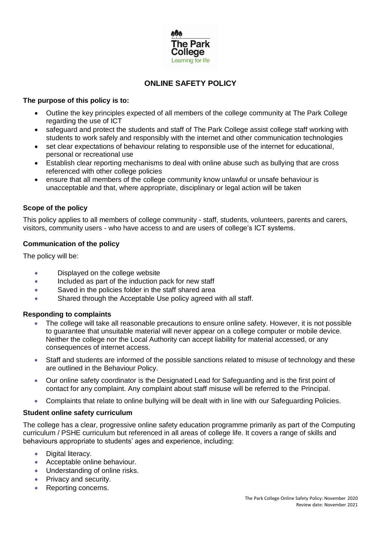

# **ONLINE SAFETY POLICY**

# **The purpose of this policy is to:**

- Outline the key principles expected of all members of the college community at The Park College regarding the use of ICT
- safeguard and protect the students and staff of The Park College assist college staff working with students to work safely and responsibly with the internet and other communication technologies
- set clear expectations of behaviour relating to responsible use of the internet for educational, personal or recreational use
- Establish clear reporting mechanisms to deal with online abuse such as bullying that are cross referenced with other college policies
- ensure that all members of the college community know unlawful or unsafe behaviour is unacceptable and that, where appropriate, disciplinary or legal action will be taken

# **Scope of the policy**

This policy applies to all members of college community - staff, students, volunteers, parents and carers, visitors, community users - who have access to and are users of college's ICT systems.

# **Communication of the policy**

The policy will be:

- Displayed on the college website
- Included as part of the induction pack for new staff
- Saved in the policies folder in the staff shared area
- Shared through the Acceptable Use policy agreed with all staff.

# **Responding to complaints**

- The college will take all reasonable precautions to ensure online safety. However, it is not possible to guarantee that unsuitable material will never appear on a college computer or mobile device. Neither the college nor the Local Authority can accept liability for material accessed, or any consequences of internet access.
- Staff and students are informed of the possible sanctions related to misuse of technology and these are outlined in the Behaviour Policy.
- Our online safety coordinator is the Designated Lead for Safeguarding and is the first point of contact for any complaint. Any complaint about staff misuse will be referred to the Principal.
- Complaints that relate to online bullying will be dealt with in line with our Safeguarding Policies.

# **Student online safety curriculum**

The college has a clear, progressive online safety education programme primarily as part of the Computing curriculum / PSHE curriculum but referenced in all areas of college life. It covers a range of skills and behaviours appropriate to students' ages and experience, including:

- Digital literacy.
- Acceptable online behaviour.
- Understanding of online risks.
- Privacy and security.
- Reporting concerns.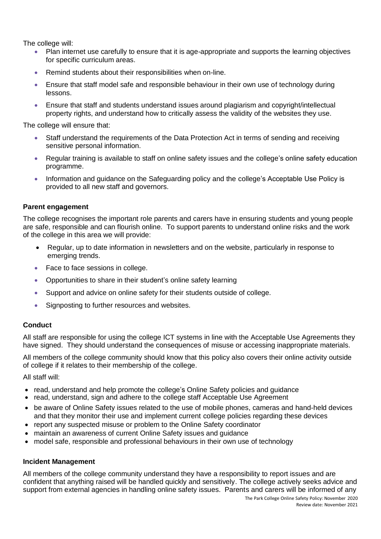The college will:

- Plan internet use carefully to ensure that it is age-appropriate and supports the learning objectives for specific curriculum areas.
- Remind students about their responsibilities when on-line.
- Ensure that staff model safe and responsible behaviour in their own use of technology during lessons.
- Ensure that staff and students understand issues around plagiarism and copyright/intellectual property rights, and understand how to critically assess the validity of the websites they use.

The college will ensure that:

- Staff understand the requirements of the Data Protection Act in terms of sending and receiving sensitive personal information.
- Regular training is available to staff on online safety issues and the college's online safety education programme.
- Information and guidance on the Safeguarding policy and the college's Acceptable Use Policy is provided to all new staff and governors.

#### **Parent engagement**

The college recognises the important role parents and carers have in ensuring students and young people are safe, responsible and can flourish online. To support parents to understand online risks and the work of the college in this area we will provide:

- Regular, up to date information in newsletters and on the website, particularly in response to emerging trends.
- Face to face sessions in college.
- Opportunities to share in their student's online safety learning
- Support and advice on online safety for their students outside of college.
- Signposting to further resources and websites.

# **Conduct**

All staff are responsible for using the college ICT systems in line with the Acceptable Use Agreements they have signed. They should understand the consequences of misuse or accessing inappropriate materials.

All members of the college community should know that this policy also covers their online activity outside of college if it relates to their membership of the college.

All staff will:

- read, understand and help promote the college's Online Safety policies and guidance
- read, understand, sign and adhere to the college staff Acceptable Use Agreement
- be aware of Online Safety issues related to the use of mobile phones, cameras and hand-held devices and that they monitor their use and implement current college policies regarding these devices
- report any suspected misuse or problem to the Online Safety coordinator
- maintain an awareness of current Online Safety issues and guidance
- model safe, responsible and professional behaviours in their own use of technology

#### **Incident Management**

All members of the college community understand they have a responsibility to report issues and are confident that anything raised will be handled quickly and sensitively. The college actively seeks advice and support from external agencies in handling online safety issues. Parents and carers will be informed of any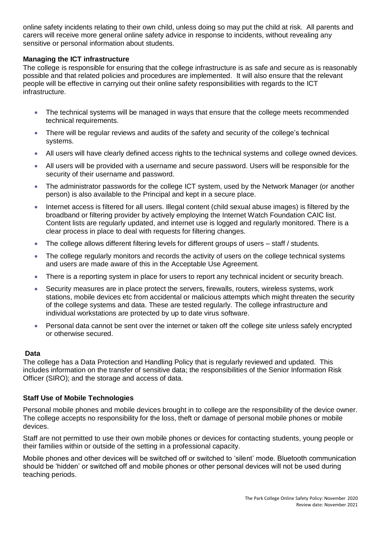online safety incidents relating to their own child, unless doing so may put the child at risk. All parents and carers will receive more general online safety advice in response to incidents, without revealing any sensitive or personal information about students.

# **Managing the ICT infrastructure**

The college is responsible for ensuring that the college infrastructure is as safe and secure as is reasonably possible and that related policies and procedures are implemented. It will also ensure that the relevant people will be effective in carrying out their online safety responsibilities with regards to the ICT infrastructure.

- The technical systems will be managed in ways that ensure that the college meets recommended technical requirements.
- There will be regular reviews and audits of the safety and security of the college's technical systems.
- All users will have clearly defined access rights to the technical systems and college owned devices.
- All users will be provided with a username and secure password. Users will be responsible for the security of their username and password.
- The administrator passwords for the college ICT system, used by the Network Manager (or another person) is also available to the Principal and kept in a secure place.
- Internet access is filtered for all users. Illegal content (child sexual abuse images) is filtered by the broadband or filtering provider by actively employing the Internet Watch Foundation CAIC list. Content lists are regularly updated, and internet use is logged and regularly monitored. There is a clear process in place to deal with requests for filtering changes.
- The college allows different filtering levels for different groups of users staff / students.
- The college regularly monitors and records the activity of users on the college technical systems and users are made aware of this in the Acceptable Use Agreement.
- There is a reporting system in place for users to report any technical incident or security breach.
- Security measures are in place protect the servers, firewalls, routers, wireless systems, work stations, mobile devices etc from accidental or malicious attempts which might threaten the security of the college systems and data. These are tested regularly. The college infrastructure and individual workstations are protected by up to date virus software.
- Personal data cannot be sent over the internet or taken off the college site unless safely encrypted or otherwise secured.

# **Data**

The college has a Data Protection and Handling Policy that is regularly reviewed and updated. This includes information on the transfer of sensitive data; the responsibilities of the Senior Information Risk Officer (SIRO); and the storage and access of data.

# **Staff Use of Mobile Technologies**

Personal mobile phones and mobile devices brought in to college are the responsibility of the device owner. The college accepts no responsibility for the loss, theft or damage of personal mobile phones or mobile devices.

Staff are not permitted to use their own mobile phones or devices for contacting students, young people or their families within or outside of the setting in a professional capacity.

Mobile phones and other devices will be switched off or switched to 'silent' mode. Bluetooth communication should be 'hidden' or switched off and mobile phones or other personal devices will not be used during teaching periods.